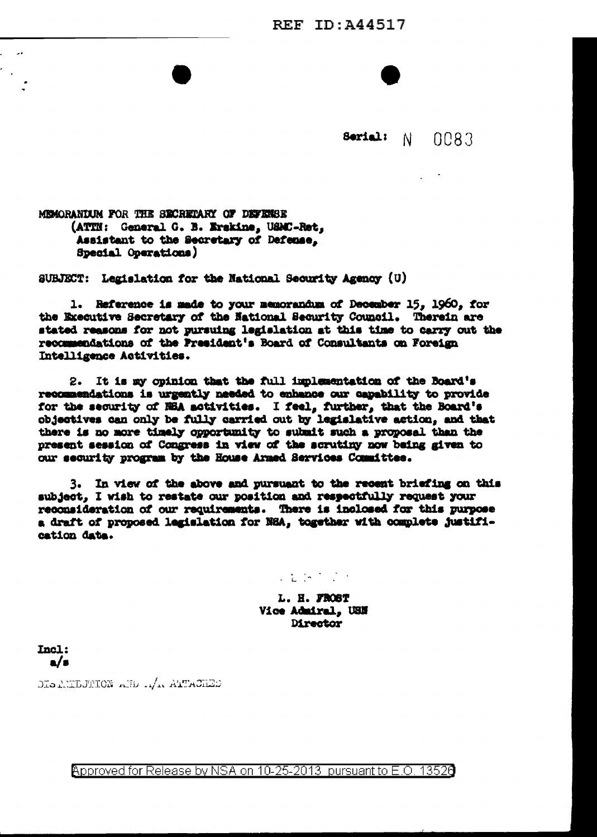**REF ID: A44517** 



MEMORANIUM FOR THE SECRETARY OF DEFENSE (ATTN: General G. B. Erskine, USMC-Ret. Assistant to the Secretary of Defense. Special Operations)

SUBJECT: Legislation for the National Security Agency (U)

1. Reference is made to your memorandum of December 15. 1960. for the Executive Secretary of the National Security Council. Therein are stated reasons for not pursuing legislation at this time to carry out the recommendations of the President's Board of Consultants on Foreign Intelligence Activities.

2. It is my opinion that the full implementation of the Board's recommendations is urgently needed to enhance our capability to provide for the security of NBA activities. I feel, further, that the Board's objectives can only be fully carried out by legislative action, and that there is no more timely opportunity to submit such a proposal than the present session of Congress in view of the scrutiny now being given to our security program by the House Armed Services Committee.

3. In view of the above and pursuant to the recent briefing on this subject, I wish to restate our position and respectfully request your reconsideration of our requirements. There is inclosed for this purpose a draft of proposed legislation for NRA, together with complete justification data.

### $\mathcal{L}$  in the  $\mathcal{L}$  -  $\mathcal{L}$

L. H. FROST Vice Admiral, USN **Director** 

Incl:  $\mathbf{a}/\mathbf{a}$ 

DISTRIBUTION AND ALTACHED

Approved for Release by NSA on 10-25-2013 pursuant to E.O. 13520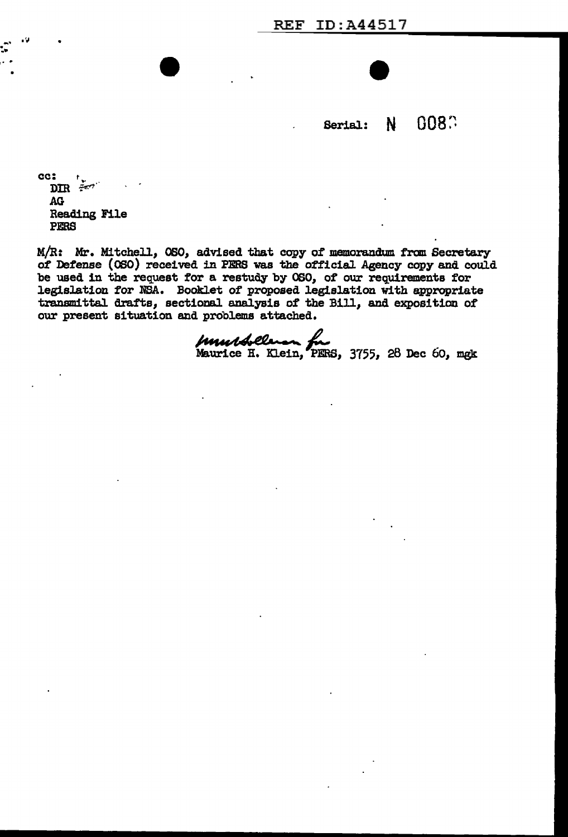0080 N. Serial:

cc: بيغ<br>سنج EDIR **AG Reading File** PERS

 $\cdot$ 

- -

M/R: Mr. Mitchell, OSO, advised that copy of memorandum from Secretary of Defense (080) received in PERS was the official Agency copy and could be used in the request for a restudy by OSO, of our requirements for legislation for NSA. Booklet of proposed legislation with appropriate transmittal drafts, sectional analysis of the Bill, and exposition of our present situation and problems attached.

Mundolles for 3755, 28 Dec 60, mgk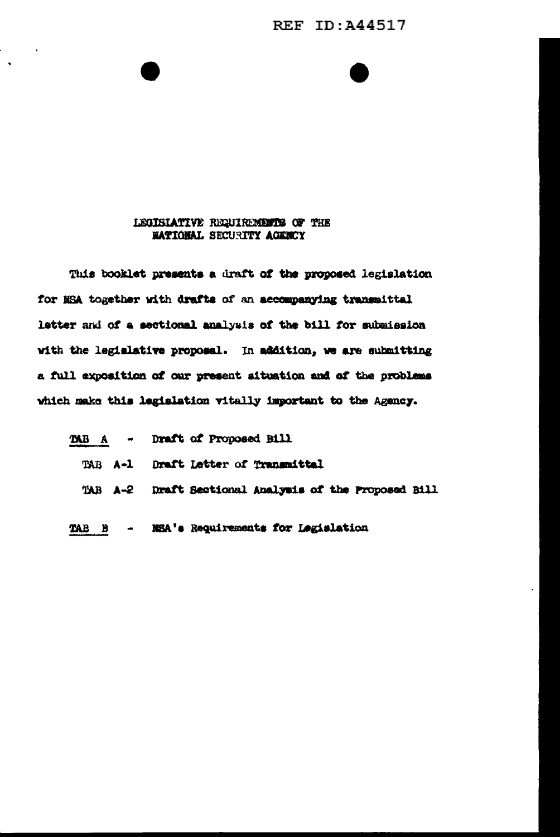## **REF ID: A44517**

#### LEGISLATIVE REQUIREMENTS OF THE **NATIONAL SECURITY AGENCY**

This booklet presents a draft of the proposed legislation for NSA together with drafts of an accompanying transmittal letter and of a sectional analysis of the bill for submission with the legislative proposal. In addition, we are submitting a full exposition of our present situation and of the problems which make this legislation vitally important to the Agency.

|     |  | TAB A - Draft of Proposed Bill                        |
|-----|--|-------------------------------------------------------|
|     |  | TAB A-1 Draft Letter of Transmittel                   |
|     |  | TAB A-2 Draft Sectional Analysis of the Proposed Bill |
| TAB |  | B - NSA's Requirements for Legislation                |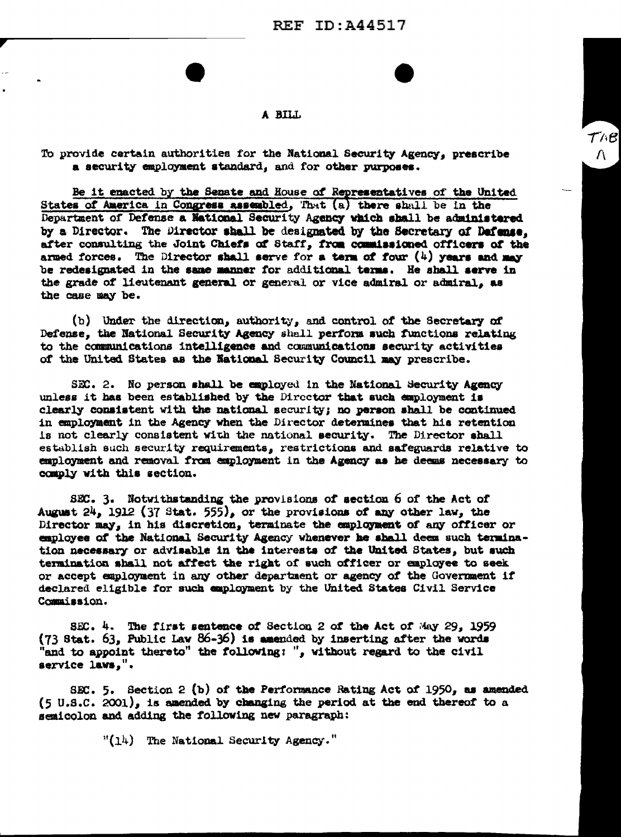$\mathcal{T}\wedge\mathcal{B}$ 

 $\Lambda$ 

#### A BILL

To provide certain authorities for the National Security Agency, prescribe a security employment standard, and for other purposes.

Be it enacted by the Senate and House of Representatives of the United States of America in Congress assembled, That (a) there shall be in the Department of Defense a National Security Agency which shall be administered by a Director. The Director shall be designated by the Secretary of Defense. after consulting the Joint Chiefs of Staff, from commissioned officers of the armed forces. The Director shall serve for a term of four  $(4)$  years and may be redesignated in the same manner for additional terms. He shall serve in the grade of lieutenant general or general or vice admiral or admiral, as the case may be.

(b) Under the direction, authority, and control of the Secretary of Defense, the National Security Agency shall perform such functions relating to the communications intelligence and communications security activities of the United States as the National Security Council may prescribe.

SEC. 2. No person shall be employed in the National Security Agency unless it has been established by the Director that such employment is clearly consistent with the national security; no person shall be continued in employment in the Agency when the Director determines that his retention is not clearly consistent with the national security. The Director shall establish such security requirements, restrictions and safeguards relative to employment and removal from employment in the Agency as he deems necessary to comply with this section.

SEC. 3. Notwithstanding the provisions of section 6 of the Act of August  $24$ , 1912 (37 Stat. 555), or the provisions of any other law, the Director may, in his discretion, terminate the employment of any officer or employee of the National Security Agency whenever he shall deem such termination necessary or advisable in the interests of the United States, but such termination shall not affect the right of such officer or employee to seek or accept employment in any other department or agency of the Government if declared eligible for such employment by the United States Civil Service Commission.

SEC. 4. The first sentence of Section 2 of the Act of May 29, 1959 (73 Stat. 63, Public Law 86-36) is amended by inserting after the words "and to appoint thereto" the following: ", without regard to the civil service laws,".

SEC. 5. Section 2 (b) of the Performance Rating Act of 1950, as amended (5 U.S.C. 2001), is amended by changing the period at the end thereof to a semicolon and adding the following new paragraph:

 $"(14)$  The National Security Agency."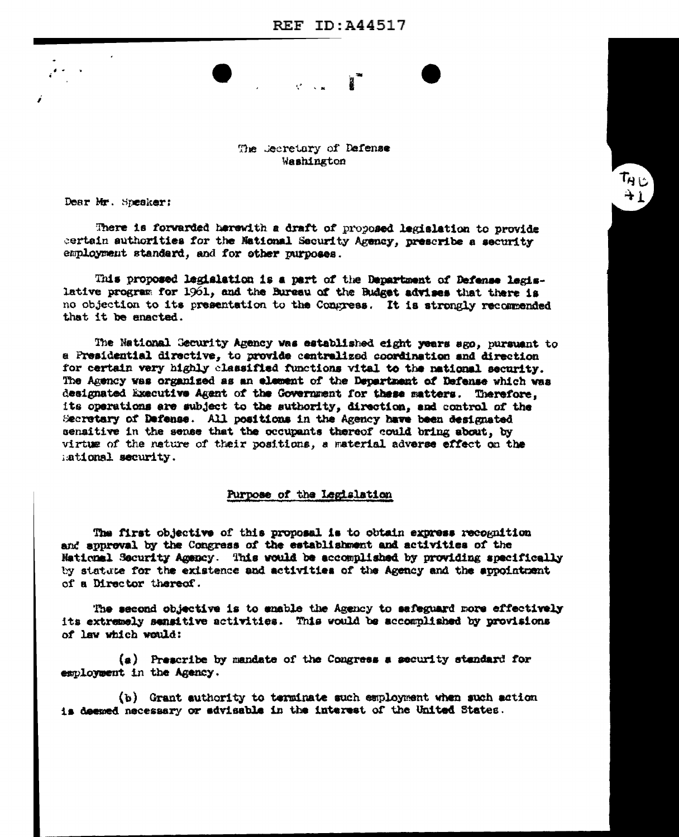# $\mathbf{R}$  $\mathcal{C} = \mathcal{C}$

ن ډآ  $+1$ 

### The Jecretary of Defense Washington

Dear Mr. Speaker:

There is forwarded herewith a draft of proposed legislation to provide certain authorities for the Mational Security Agency, prescribe a security employment standard, and for other purposes.

This proposed legislation is a part of the Department of Defense legislative program for 1961, and the Bureau of the Budget advises that there is no objection to its presentation to the Congress. It is strongly recommended that it be enacted.

The National Gecurity Agency was established eight years ago, pursuant to a Presidential directive, to provide centralized coordination and direction for certain very highly classified functions vital to the national security. The Agency was organized as an element of the Department of Defense which was designated Executive Agent of the Government for these matters. Therefore, its operations are subject to the suthority, direction, and control of the Secretary of Defense. All positions in the Agency have been designated sensitive in the sense that the occupants thereof could bring about, by virtue of the nature of their positions, a material adverse effect on the ational security.

#### Purpose of the Legislation

The first objective of this proposal is to obtain express recognition and approval by the Congress of the establishment and activities of the National Security Agency. This would be accomplished by providing specifically by statute for the existence and activities of the Agency and the appointment of a Director thereof.

The second objective is to enable the Agency to safeguard more effectively its extremely sensitive activities. This would be accomplished by provisions of law which would:

(a) Prescribe by mandate of the Congress a security standard for esmloyment in the Agency.

(b) Grant authority to terminate such employment when such action is deemed necessary or advisable in the interest of the United States.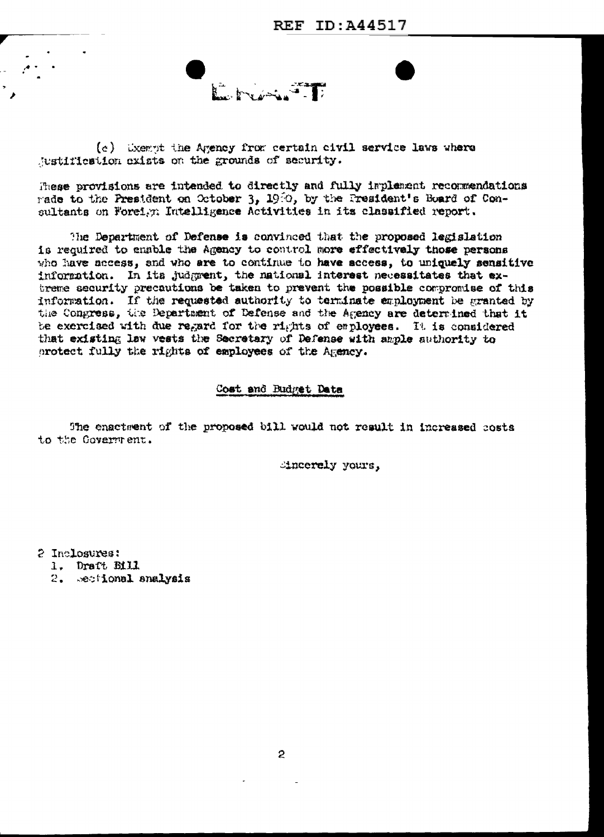(c) Exempt the Agency from certain civil service laws where justification exists on the grounds of security.

These provisions are intended to directly and fully implement recommendations rade to the President on October 3, 1980, by the President's Board of Consultants on Foreign Intelligence Activities in its classified report.

The Department of Defense is convinced that the proposed legislation is required to enable the Agency to control more effectively those persons who have access, and who are to continue to have access, to uniquely sensitive information. In its judgment, the national interest necessitates that extreme security precautions be taken to prevent the possible compromise of this information. If the requested authority to terminate employment be granted by the Congress, the Department of Defense and the Agency are determined that it be exercised with due regard for the rights of employees. It is considered that existing law vests the Secretary of Defense with ample authority to protect fully the rights of employees of the Agency.

Cost and Budget Data

The enactment of the proposed bill would not result in increased costs to the Government.

dincerely yours,

2 Inclosures:

1. Draft Bill

2. Sectional analysis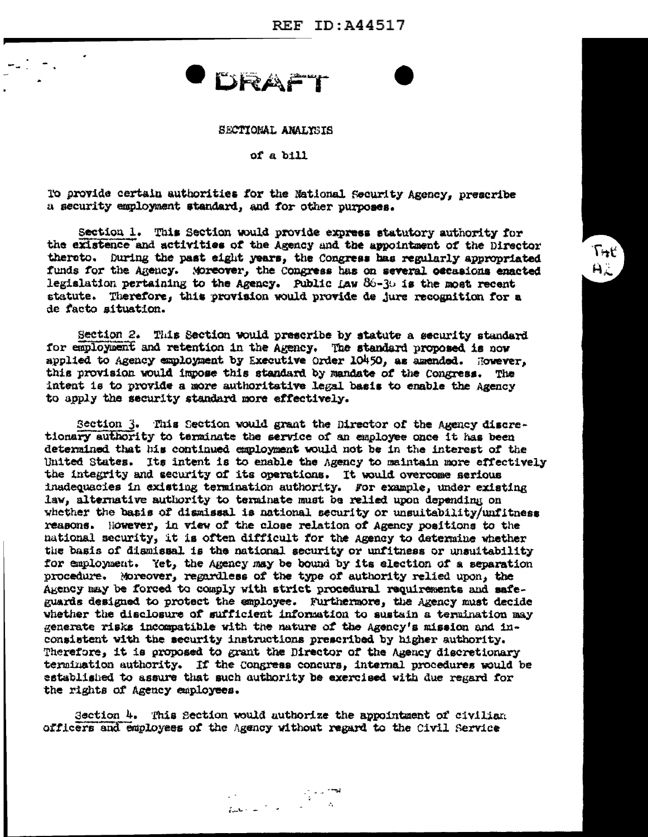**REF ID: A44517** 

 $T + t'$ 

AL

**DRAFT** 

#### SECTIONAL ANALYSIS

#### of a bill

To provide certain authorities for the National Security Agency, prescribe a security employment standard, and for other purposes.

Section 1. This Section would provide express statutory authority for the existence and activities of the Agency and the appointment of the Director thereto. During the past eight years, the Congress has regularly appropriated funds for the Agency. Moreover, the Congress has on several occasions enacted legislation pertaining to the Agency. Public  $Law 86-36$  is the most recent statute. Therefore, this provision would provide de jure recognition for a de facto situation.

Section 2. This Section would prescribe by statute a security standard for employment and retention in the Agency. The standard proposed is now applied to Agency employment by Executive Order 10450, as amended. However, this provision would impose this standard by mandate of the Congress. The intent is to provide a more authoritative legal basis to enable the Agency to apply the security standard more effectively.

Section 3. This Section would grant the Director of the Agency discretionary authority to terminate the service of an employee once it has been determined that his continued employment would not be in the interest of the United States. Its intent is to enable the Agency to maintain more effectively the integrity and security of its operations. It would overcome serious inadequacies in existing termination authority. For example, under existing law, alternative authority to terminate must be relied upon depending on whether the basis of dismissal is national security or unsuitability/unfitness reasons. However, in view of the close relation of Agency positions to the national security, it is often difficult for the Agency to determine whether the basis of dismissal is the national security or unfitness or unsuitability for employment. Yet, the Agency may be bound by its election of a separation procedure. Moreover, regardless of the type of authority relied upon, the Akency may be forced to comply with strict procedural requirements and safeguards designed to protect the employee. Furthermore, the Agency must decide whether the disclosure of sufficient information to sustain a termination may generate risks incompatible with the nature of the Agency's mission and inconsistent with the security instructions prescribed by higher authority. Therefore, it is proposed to grant the Director of the Agency discretionary termination authority. If the Congress concurs, internal procedures would be established to assure that such authority be exercised with due regard for the rights of Agency employees.

Section 4. This Section would authorize the appointment of civilian officers and employees of the Agency without regard to the Civil Service

العجم والوالي.<br>المراجع المراجع المراجع المستخدمات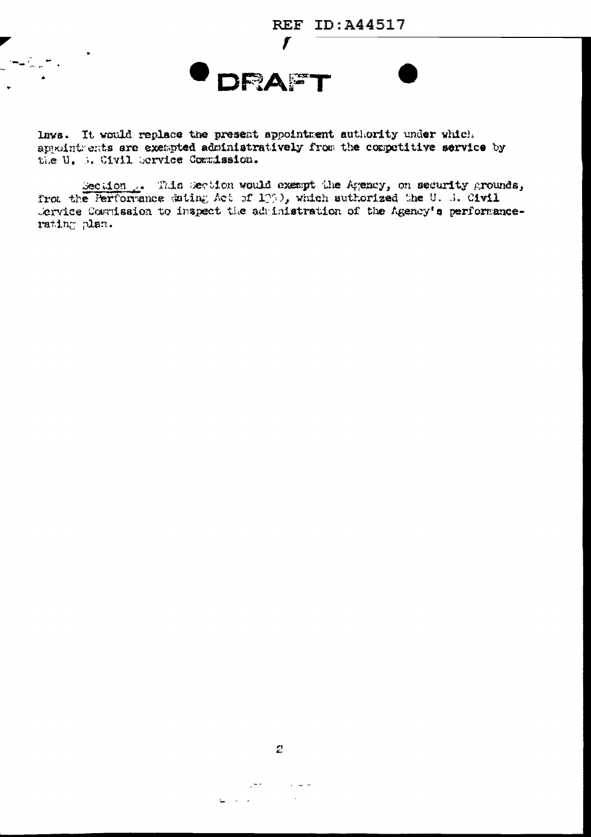

**DRAF** 

laws. It would replace the present appointment authority under which approintments are exempted administratively from the competitive service by the U. B. Civil Service Commission.

Secuion ... This Secuion would exempt the Agency, on security grounds, from the Ferformance dating Act of 1000, which suthorized the U. S. Civil Service Cosmission to inspect the administration of the Agency's performancerating plan.

 $\omega$  ,  $\omega$  ,  $\omega$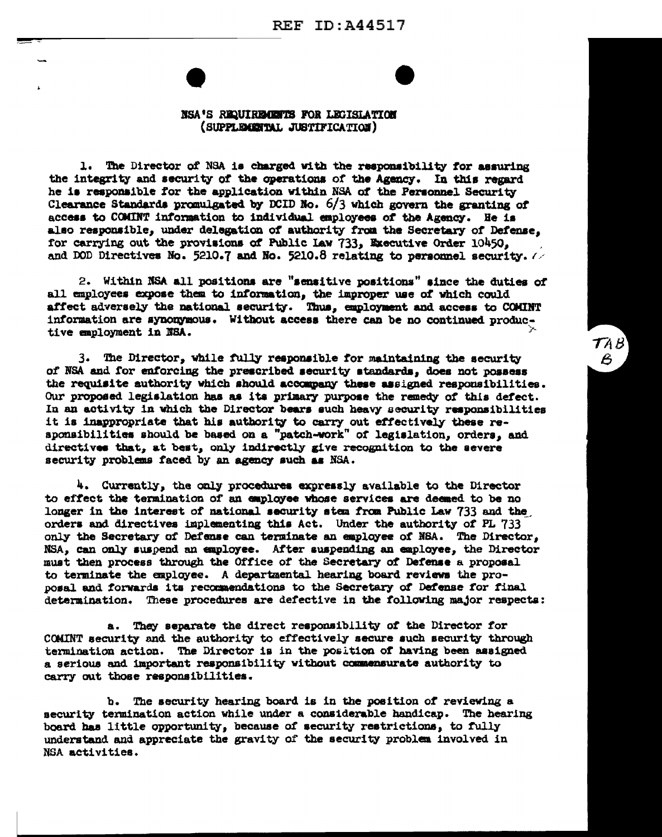

 $TAB'$ 

 $\boldsymbol{\mathcal{E}}$ 

#### NSA'S REQUIREMENTS FOR LEGISLATION (SUPPLEMENTAL JUSTIFICATION)

1. The Director of NSA is charged with the responsibility for assuring the integrity and security of the operations of the Agency. In this regard he is responsible for the application within NSA of the Personnel Security Clearance Standards promulgated by DCID No.  $6/3$  which govern the granting of access to COMINT information to individual employees of the Agency. He is also responsible, under delegation of authority from the Secretary of Defense, for carrying out the provisions of Public Law 733, Executive Order 10450. and DOD Directives No. 5210.7 and No. 5210.8 relating to personnel security.  $\sqrt{2}$ 

2. Within NSA all positions are "sensitive positions" since the duties of all employees expose them to information, the improper use of which could affect adversely the national security. Thus, employment and access to COMINT information are synonymous. Without access there can be no continued productive employment in NSA.

3. The Director, while fully responsible for maintaining the security of NSA and for enforcing the prescribed security standards, does not possess the requisite authority which should accompany these assigned responsibilities. Our proposed legislation has as its primary purpose the remedy of this defect. In an activity in which the Director bears such heavy security responsibilities it is inappropriate that his authority to carry out effectively these reaponsibilities should be based on a "patch-work" of legislation, orders, and directives that, at best, only indirectly give recognition to the severe security problems faced by an agency such as NSA.

4. Currently, the only procedures expressly available to the Director to effect the termination of an employee whose services are deemed to be no longer in the interest of national security stem from Public Law 733 and the orders and directives implementing this Act. Under the authority of PL 733 only the Secretary of Defense can terminate an employee of NSA. The Director, NSA, can only suspend an employee. After suspending an employee, the Director must then process through the Office of the Secretary of Defense a proposal to terminate the employee. A departmental hearing board reviews the proposal and forwards its recommendations to the Secretary of Defense for final determination. These procedures are defective in the following major respects:

a. They separate the direct responsibility of the Director for COMINT security and the authority to effectively secure such security through termination action. The Director is in the position of having been assigned a serious and important responsibility without commensurate authority to carry out those responsibilities.

b. The security hearing board is in the position of reviewing a security termination action while under a considerable handicap. The hearing board has little opportunity, because of security restrictions, to fully understand and appreciate the gravity of the security problem involved in NSA activities.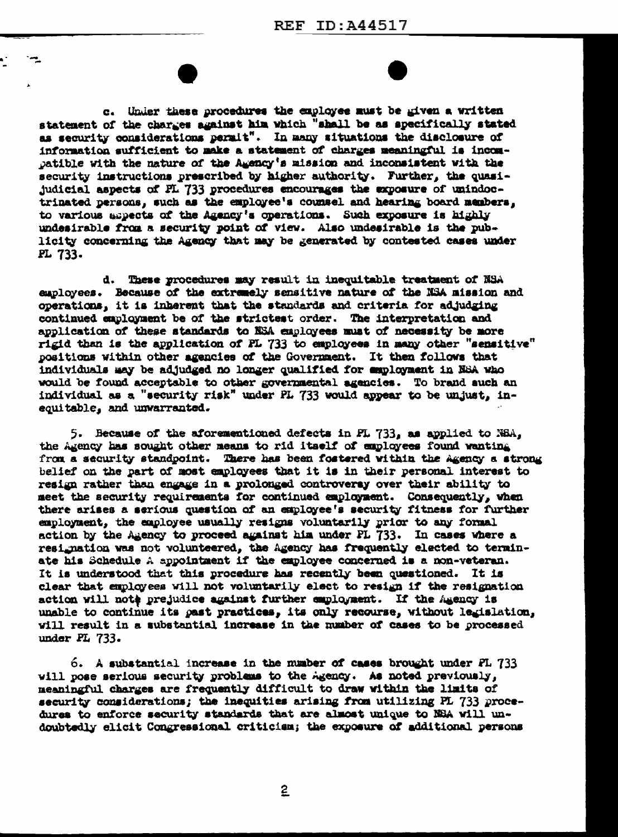c. Under these procedures the exployee must be given a written statement of the charges against him which "shall be as specifically stated as security considerations permit". In many situations the disclosure of information sufficient to make a statement of charges meaningful is incompatible with the nature of the Agency's mission and inconsistent with the security instructions prescribed by higher authority. Further, the quasijudicial aspects of PL 733 procedures encourages the exposure of unindoctrinated persons, such as the employee's counsel and hearing board members, to various aspects of the Agency's operations. Such exposure is highly undesirable from a security point of view. Also undesirable is the publicity concerning the Agency that may be generated by contested cases under PL 733.

d. These procedures may result in inequitable treatment of NSA employees. Because of the extremely sensitive nature of the NSA mission and operations, it is inherent that the standards and criteria for adjudging continued employment be of the strictest order. The interpretation and application of these standards to NSA employees must of necessity be more rigid than is the application of PL 733 to employees in many other "sensitive" positions within other agencies of the Government. It then follows that individuals may be adjudged no longer qualified for employment in NSA who would be found acceptable to other governmental agencies. To brand such an individual as a "security risk" under PL 733 would appear to be unjust, inequitable, and unwarranted.

5. Because of the aforementioned defects in PL 733, as applied to NBA, the Agency has sought other means to rid itself of employees found wanting from a security standpoint. There has been fostered within the Agency a strong belief on the part of most employees that it is in their personal interest to resign rather than engage in a prolonged controversy over their ability to meet the security requirements for continued employment. Consequently, when there arises a serious question of an employee's security fitness for further employment, the employee usually resigns voluntarily prior to any formal action by the Agency to proceed against him under PL 733. In cases where a resignation was not volunteered, the Agency has frequently elected to terminate his Schedule A appointment if the employee concerned is a non-veteran. It is understood that this procedure has recently been questioned. It is clear that employees will not voluntarily elect to resign if the resignation action will note prejudice against further employment. If the Agency is unable to continue its past practices, its only recourse, without legislation, will result in a substantial increase in the number of cases to be processed under PL 733.

6. A substantial increase in the number of cases brought under FL 733 will pose serious security problems to the Agency. As noted previously, meaningful charges are frequently difficult to draw within the limits of security considerations; the inequities arising from utilizing PL 733 procedures to enforce security standards that are almost unique to NSA will undoubtedly elicit Congressional criticism; the exposure of additional persons

2